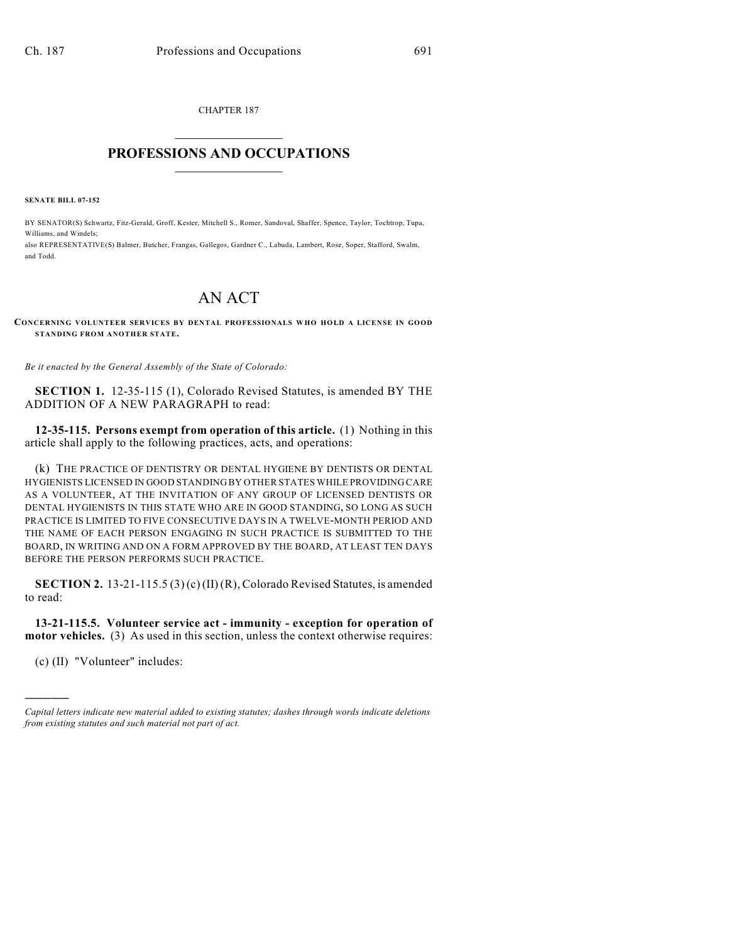CHAPTER 187  $\mathcal{L}_\text{max}$  . The set of the set of the set of the set of the set of the set of the set of the set of the set of the set of the set of the set of the set of the set of the set of the set of the set of the set of the set

## **PROFESSIONS AND OCCUPATIONS**  $\frac{1}{2}$  ,  $\frac{1}{2}$  ,  $\frac{1}{2}$  ,  $\frac{1}{2}$  ,  $\frac{1}{2}$  ,  $\frac{1}{2}$  ,  $\frac{1}{2}$

**SENATE BILL 07-152**

BY SENATOR(S) Schwartz, Fitz-Gerald, Groff, Kester, Mitchell S., Romer, Sandoval, Shaffer, Spence, Taylor, Tochtrop, Tupa, Williams, and Windels; also REPRESENTATIVE(S) Balmer, Butcher, Frangas, Gallegos, Gardner C., Labuda, Lambert, Rose, Soper, Stafford, Swalm,

and Todd.

## AN ACT

## **CONCERNING VOLUNTEER SERVICES BY DENTAL PROFESSIONALS W HO HOLD A LICENSE IN GOOD STANDING FROM ANOTHER STATE.**

*Be it enacted by the General Assembly of the State of Colorado:*

**SECTION 1.** 12-35-115 (1), Colorado Revised Statutes, is amended BY THE ADDITION OF A NEW PARAGRAPH to read:

**12-35-115. Persons exempt from operation of this article.** (1) Nothing in this article shall apply to the following practices, acts, and operations:

(k) THE PRACTICE OF DENTISTRY OR DENTAL HYGIENE BY DENTISTS OR DENTAL HYGIENISTS LICENSED IN GOOD STANDING BY OTHER STATES WHILE PROVIDING CARE AS A VOLUNTEER, AT THE INVITATION OF ANY GROUP OF LICENSED DENTISTS OR DENTAL HYGIENISTS IN THIS STATE WHO ARE IN GOOD STANDING, SO LONG AS SUCH PRACTICE IS LIMITED TO FIVE CONSECUTIVE DAYS IN A TWELVE-MONTH PERIOD AND THE NAME OF EACH PERSON ENGAGING IN SUCH PRACTICE IS SUBMITTED TO THE BOARD, IN WRITING AND ON A FORM APPROVED BY THE BOARD, AT LEAST TEN DAYS BEFORE THE PERSON PERFORMS SUCH PRACTICE.

**SECTION 2.** 13-21-115.5 (3) (c) (II) (R), Colorado Revised Statutes, is amended to read:

**13-21-115.5. Volunteer service act - immunity - exception for operation of motor vehicles.** (3) As used in this section, unless the context otherwise requires:

(c) (II) "Volunteer" includes:

)))))

*Capital letters indicate new material added to existing statutes; dashes through words indicate deletions from existing statutes and such material not part of act.*